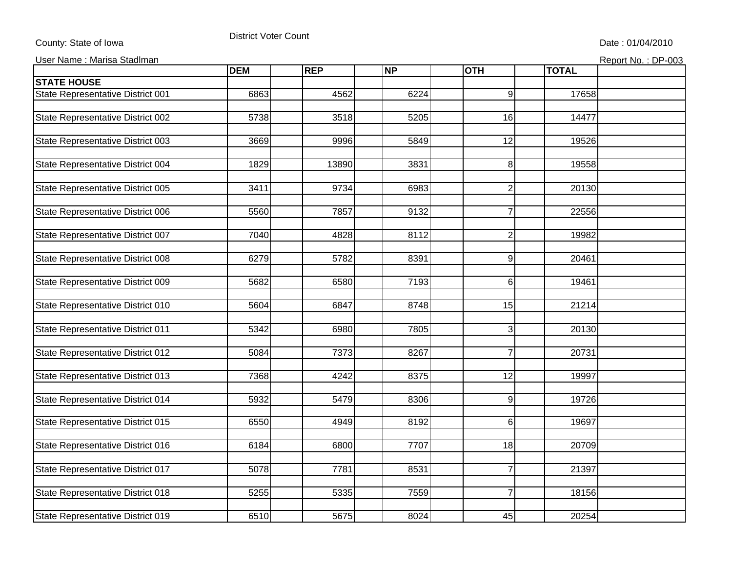## County: State of Iowa **District Voter Count** District Voter Count **District Voter Count** Date : 01/04/2010

User Name : Marisa Stadlman Report No. : DP-003

|                                   | <b>DEM</b> | <b>REP</b> | <b>NP</b> | <b>OTH</b>      | <b>TOTAL</b> |  |
|-----------------------------------|------------|------------|-----------|-----------------|--------------|--|
| <b>STATE HOUSE</b>                |            |            |           |                 |              |  |
| State Representative District 001 | 6863       | 4562       | 6224      | 9               | 17658        |  |
| State Representative District 002 | 5738       | 3518       | 5205      | $\overline{16}$ | 14477        |  |
|                                   |            |            |           |                 |              |  |
| State Representative District 003 | 3669       | 9996       | 5849      | $\overline{12}$ | 19526        |  |
| State Representative District 004 | 1829       | 13890      | 3831      | 8               | 19558        |  |
|                                   |            |            |           |                 |              |  |
| State Representative District 005 | 3411       | 9734       | 6983      | $\overline{c}$  | 20130        |  |
| State Representative District 006 | 5560       | 7857       | 9132      | $\overline{7}$  | 22556        |  |
|                                   |            |            |           |                 |              |  |
| State Representative District 007 | 7040       | 4828       | 8112      | $\overline{c}$  | 19982        |  |
|                                   |            |            |           |                 |              |  |
| State Representative District 008 | 6279       | 5782       | 8391      | 9               | 20461        |  |
| State Representative District 009 | 5682       | 6580       | 7193      | 6               | 19461        |  |
|                                   |            |            |           |                 |              |  |
| State Representative District 010 | 5604       | 6847       | 8748      | $\overline{15}$ | 21214        |  |
| State Representative District 011 | 5342       | 6980       | 7805      | 3               | 20130        |  |
|                                   |            |            |           |                 |              |  |
| State Representative District 012 | 5084       | 7373       | 8267      | $\overline{7}$  | 20731        |  |
| State Representative District 013 | 7368       | 4242       | 8375      | 12              | 19997        |  |
|                                   |            |            |           |                 |              |  |
| State Representative District 014 | 5932       | 5479       | 8306      | 9               | 19726        |  |
| State Representative District 015 | 6550       | 4949       | 8192      | 6               | 19697        |  |
|                                   |            |            |           |                 |              |  |
| State Representative District 016 | 6184       | 6800       | 7707      | $\overline{18}$ | 20709        |  |
|                                   |            |            |           |                 |              |  |
| State Representative District 017 | 5078       | 7781       | 8531      | $\overline{7}$  | 21397        |  |
| State Representative District 018 | 5255       | 5335       | 7559      | $\overline{7}$  | 18156        |  |
|                                   |            |            |           |                 |              |  |
| State Representative District 019 | 6510       | 5675       | 8024      | 45              | 20254        |  |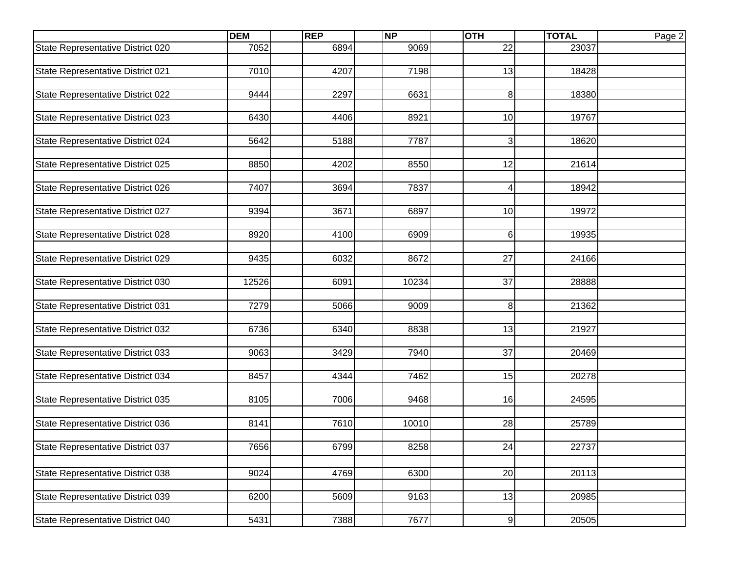|                                          | <b>DEM</b> | <b>REP</b> | <b>NP</b> | <b>OTH</b>      | <b>TOTAL</b> | Page 2 |
|------------------------------------------|------------|------------|-----------|-----------------|--------------|--------|
| State Representative District 020        | 7052       | 6894       | 9069      | $\overline{22}$ | 23037        |        |
|                                          |            |            |           |                 |              |        |
| State Representative District 021        | 7010       | 4207       | 7198      | 13              | 18428        |        |
|                                          |            |            |           |                 |              |        |
| State Representative District 022        | 9444       | 2297       | 6631      | 8               | 18380        |        |
| State Representative District 023        | 6430       | 4406       | 8921      | 10              | 19767        |        |
|                                          |            |            |           |                 |              |        |
| State Representative District 024        | 5642       | 5188       | 7787      | 3               | 18620        |        |
|                                          |            |            |           |                 |              |        |
| State Representative District 025        | 8850       | 4202       | 8550      | 12              | 21614        |        |
|                                          |            |            |           |                 |              |        |
| State Representative District 026        | 7407       | 3694       | 7837      | $\overline{4}$  | 18942        |        |
| State Representative District 027        | 9394       | 3671       | 6897      | 10              | 19972        |        |
|                                          |            |            |           |                 |              |        |
| State Representative District 028        | 8920       | 4100       | 6909      | 6               | 19935        |        |
|                                          |            |            |           |                 |              |        |
| State Representative District 029        | 9435       | 6032       | 8672      | 27              | 24166        |        |
|                                          |            |            |           |                 |              |        |
| State Representative District 030        | 12526      | 6091       | 10234     | 37              | 28888        |        |
|                                          |            |            |           |                 |              |        |
| State Representative District 031        | 7279       | 5066       | 9009      | 8               | 21362        |        |
| State Representative District 032        | 6736       | 6340       | 8838      | 13              | 21927        |        |
|                                          |            |            |           |                 |              |        |
| State Representative District 033        | 9063       | 3429       | 7940      | 37              | 20469        |        |
|                                          |            |            |           |                 |              |        |
| State Representative District 034        | 8457       | 4344       | 7462      | 15              | 20278        |        |
|                                          |            |            |           |                 |              |        |
| State Representative District 035        | 8105       | 7006       | 9468      | 16              | 24595        |        |
|                                          |            |            |           |                 |              |        |
| State Representative District 036        | 8141       | 7610       | 10010     | 28              | 25789        |        |
| <b>State Representative District 037</b> | 7656       |            | 8258      |                 |              |        |
|                                          |            | 6799       |           | 24              | 22737        |        |
| State Representative District 038        | 9024       | 4769       | 6300      | $\overline{20}$ | 20113        |        |
|                                          |            |            |           |                 |              |        |
| State Representative District 039        | 6200       | 5609       | 9163      | 13              | 20985        |        |
|                                          |            |            |           |                 |              |        |
| State Representative District 040        | 5431       | 7388       | 7677      | $9\,$           | 20505        |        |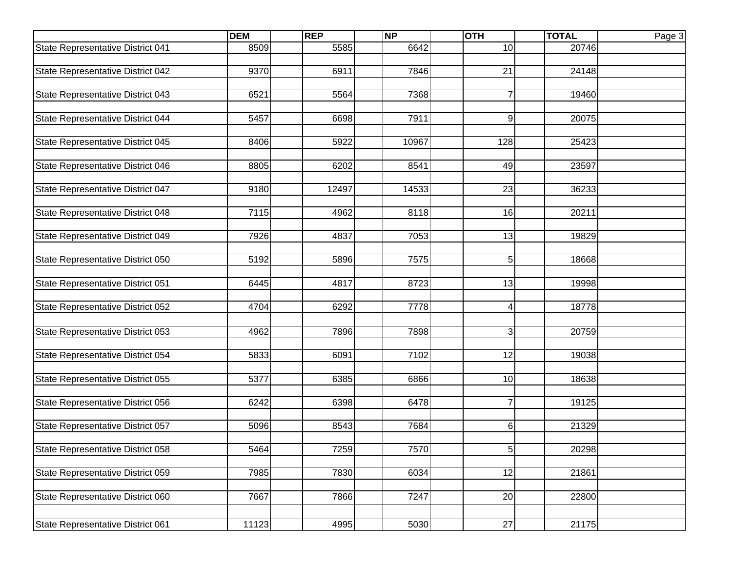|                                   | <b>DEM</b> | <b>REP</b> | <b>NP</b> | <b>OTH</b>      | <b>TOTAL</b> | Page 3 |
|-----------------------------------|------------|------------|-----------|-----------------|--------------|--------|
| State Representative District 041 | 8509       | 5585       | 6642      | 10              | 20746        |        |
|                                   |            |            |           |                 |              |        |
| State Representative District 042 | 9370       | 6911       | 7846      | $\overline{21}$ | 24148        |        |
| State Representative District 043 | 6521       | 5564       | 7368      | 7               | 19460        |        |
|                                   |            |            |           |                 |              |        |
| State Representative District 044 | 5457       | 6698       | 7911      | 9               | 20075        |        |
|                                   |            |            |           |                 |              |        |
| State Representative District 045 | 8406       | 5922       | 10967     | 128             | 25423        |        |
| State Representative District 046 | 8805       | 6202       | 8541      | 49              | 23597        |        |
|                                   |            |            |           |                 |              |        |
| State Representative District 047 | 9180       | 12497      | 14533     | $\overline{23}$ | 36233        |        |
|                                   |            |            |           |                 |              |        |
| State Representative District 048 | 7115       | 4962       | 8118      | 16              | 20211        |        |
|                                   |            |            |           |                 |              |        |
| State Representative District 049 | 7926       | 4837       | 7053      | 13              | 19829        |        |
| State Representative District 050 | 5192       | 5896       | 7575      | 5               | 18668        |        |
|                                   |            |            |           |                 |              |        |
| State Representative District 051 | 6445       | 4817       | 8723      | 13              | 19998        |        |
|                                   |            |            |           |                 |              |        |
| State Representative District 052 | 4704       | 6292       | 7778      | 4               | 18778        |        |
|                                   |            |            |           |                 |              |        |
| State Representative District 053 | 4962       | 7896       | 7898      | 3               | 20759        |        |
| State Representative District 054 | 5833       | 6091       | 7102      | 12              | 19038        |        |
|                                   |            |            |           |                 |              |        |
| State Representative District 055 | 5377       | 6385       | 6866      | 10              | 18638        |        |
|                                   |            |            |           |                 |              |        |
| State Representative District 056 | 6242       | 6398       | 6478      | 7               | 19125        |        |
|                                   |            |            |           |                 |              |        |
| State Representative District 057 | 5096       | 8543       | 7684      | 6               | 21329        |        |
| State Representative District 058 | 5464       | 7259       | 7570      | $\overline{5}$  | 20298        |        |
|                                   |            |            |           |                 |              |        |
| State Representative District 059 | 7985       | 7830       | 6034      | $\overline{12}$ | 21861        |        |
|                                   |            |            |           |                 |              |        |
| State Representative District 060 | 7667       | 7866       | 7247      | 20              | 22800        |        |
|                                   |            |            |           |                 |              |        |
| State Representative District 061 | 11123      | 4995       | 5030      | 27              | 21175        |        |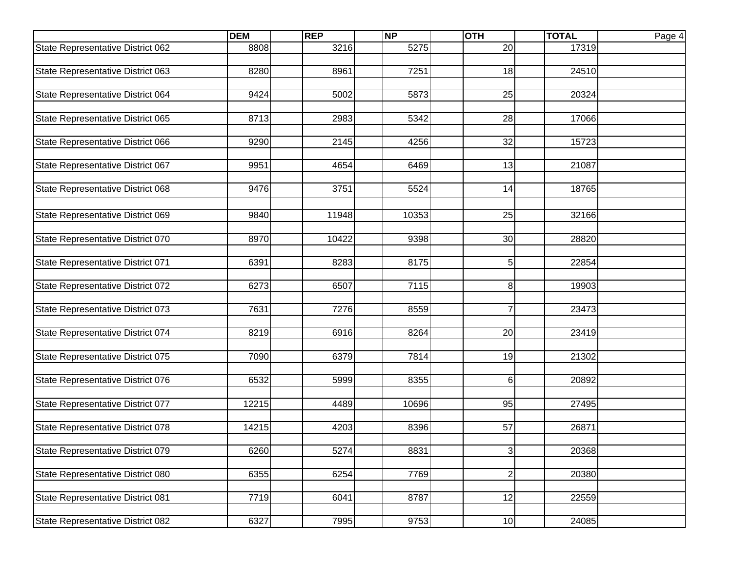|                                   | <b>DEM</b> | <b>REP</b> | <b>NP</b> | <b>OTH</b>     | <b>TOTAL</b> | Page 4 |
|-----------------------------------|------------|------------|-----------|----------------|--------------|--------|
| State Representative District 062 | 8808       | 3216       | 5275      | 20             | 17319        |        |
|                                   |            |            |           |                |              |        |
| State Representative District 063 | 8280       | 8961       | 7251      | 18             | 24510        |        |
|                                   |            |            |           |                |              |        |
| State Representative District 064 | 9424       | 5002       | 5873      | 25             | 20324        |        |
| State Representative District 065 | 8713       | 2983       | 5342      | 28             | 17066        |        |
|                                   |            |            |           |                |              |        |
| State Representative District 066 | 9290       | 2145       | 4256      | 32             | 15723        |        |
|                                   |            |            |           |                |              |        |
| State Representative District 067 | 9951       | 4654       | 6469      | 13             | 21087        |        |
|                                   |            |            |           |                |              |        |
| State Representative District 068 | 9476       | 3751       | 5524      | 14             | 18765        |        |
|                                   |            |            |           |                |              |        |
| State Representative District 069 | 9840       | 11948      | 10353     | 25             | 32166        |        |
|                                   |            |            |           |                |              |        |
| State Representative District 070 | 8970       | 10422      | 9398      | 30             | 28820        |        |
|                                   |            |            | 8175      |                |              |        |
| State Representative District 071 | 6391       | 8283       |           | 5              | 22854        |        |
| State Representative District 072 | 6273       | 6507       | 7115      | 8              | 19903        |        |
|                                   |            |            |           |                |              |        |
| State Representative District 073 | 7631       | 7276       | 8559      | $\overline{7}$ | 23473        |        |
|                                   |            |            |           |                |              |        |
| State Representative District 074 | 8219       | 6916       | 8264      | 20             | 23419        |        |
|                                   |            |            |           |                |              |        |
| State Representative District 075 | 7090       | 6379       | 7814      | 19             | 21302        |        |
|                                   |            |            |           |                |              |        |
| State Representative District 076 | 6532       | 5999       | 8355      | 6              | 20892        |        |
| State Representative District 077 | 12215      | 4489       | 10696     | 95             | 27495        |        |
|                                   |            |            |           |                |              |        |
| State Representative District 078 | 14215      | 4203       | 8396      | 57             | 26871        |        |
|                                   |            |            |           |                |              |        |
| State Representative District 079 | 6260       | 5274       | 8831      | 3              | 20368        |        |
|                                   |            |            |           |                |              |        |
| State Representative District 080 | 6355       | 6254       | 7769      | $\overline{2}$ | 20380        |        |
|                                   |            |            |           |                |              |        |
| State Representative District 081 | 7719       | 6041       | 8787      | 12             | 22559        |        |
|                                   |            |            |           |                |              |        |
| State Representative District 082 | 6327       | 7995       | 9753      | 10             | 24085        |        |